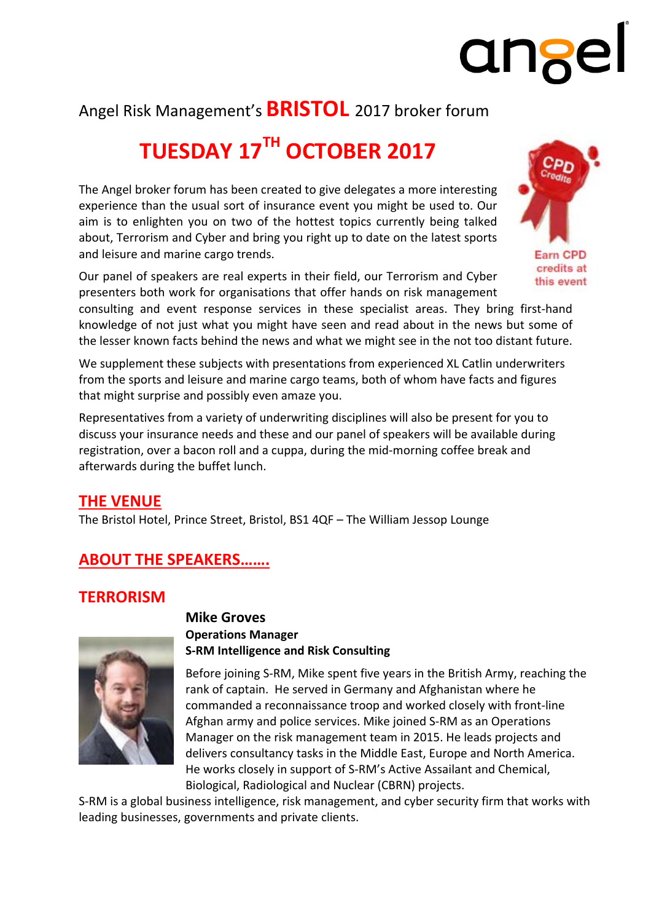# Angel Risk Management's **BRISTOL** 2017 broker forum

# **TUESDAY 17TH OCTOBER 2017**

The Angel broker forum has been created to give delegates a more interesting experience than the usual sort of insurance event you might be used to. Our aim is to enlighten you on two of the hottest topics currently being talked about, Terrorism and Cyber and bring you right up to date on the latest sports and leisure and marine cargo trends.

Our panel of speakers are real experts in their field, our Terrorism and Cyber presenters both work for organisations that offer hands on risk management

Earn CPD credits at this event

ange

consulting and event response services in these specialist areas. They bring first‐hand knowledge of not just what you might have seen and read about in the news but some of the lesser known facts behind the news and what we might see in the not too distant future.

We supplement these subjects with presentations from experienced XL Catlin underwriters from the sports and leisure and marine cargo teams, both of whom have facts and figures that might surprise and possibly even amaze you.

Representatives from a variety of underwriting disciplines will also be present for you to discuss your insurance needs and these and our panel of speakers will be available during registration, over a bacon roll and a cuppa, during the mid‐morning coffee break and afterwards during the buffet lunch.

## **THE VENUE**

The Bristol Hotel, Prince Street, Bristol, BS1 4QF – The William Jessop Lounge

# **ABOUT THE SPEAKERS…….**

## **TERRORISM**



#### **Mike Groves Operations Manager S‐RM Intelligence and Risk Consulting**

Before joining S‐RM, Mike spent five years in the British Army, reaching the rank of captain. He served in Germany and Afghanistan where he commanded a reconnaissance troop and worked closely with front‐line Afghan army and police services. Mike joined S‐RM as an Operations Manager on the risk management team in 2015. He leads projects and delivers consultancy tasks in the Middle East, Europe and North America. He works closely in support of S‐RM's Active Assailant and Chemical, Biological, Radiological and Nuclear (CBRN) projects.

S-RM is a global business intelligence, risk management, and cyber security firm that works with leading businesses, governments and private clients.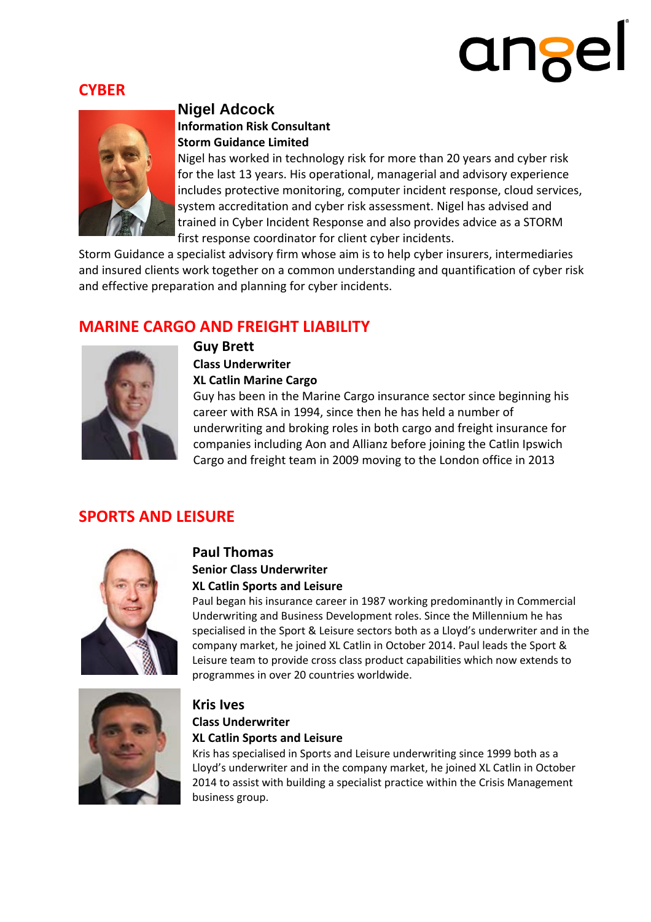# angel

# **CYBER**



#### **Nigel Adcock Information Risk Consultant Storm Guidance Limited**

Nigel has worked in technology risk for more than 20 years and cyber risk for the last 13 years. His operational, managerial and advisory experience includes protective monitoring, computer incident response, cloud services, system accreditation and cyber risk assessment. Nigel has advised and trained in Cyber Incident Response and also provides advice as a STORM first response coordinator for client cyber incidents.

Storm Guidance a specialist advisory firm whose aim is to help cyber insurers, intermediaries and insured clients work together on a common understanding and quantification of cyber risk and effective preparation and planning for cyber incidents.

# **MARINE CARGO AND FREIGHT LIABILITY**



**Guy Brett Class Underwriter XL Catlin Marine Cargo**

Guy has been in the Marine Cargo insurance sector since beginning his career with RSA in 1994, since then he has held a number of underwriting and broking roles in both cargo and freight insurance for companies including Aon and Allianz before joining the Catlin Ipswich Cargo and freight team in 2009 moving to the London office in 2013

# **SPORTS AND LEISURE**



#### **Paul Thomas**

#### **Senior Class Underwriter XL Catlin Sports and Leisure**

Paul began his insurance career in 1987 working predominantly in Commercial Underwriting and Business Development roles. Since the Millennium he has specialised in the Sport & Leisure sectors both as a Lloyd's underwriter and in the company market, he joined XL Catlin in October 2014. Paul leads the Sport & Leisure team to provide cross class product capabilities which now extends to programmes in over 20 countries worldwide.



#### **Kris Ives**

#### **Class Underwriter XL Catlin Sports and Leisure**

Kris has specialised in Sports and Leisure underwriting since 1999 both as a Lloyd's underwriter and in the company market, he joined XL Catlin in October 2014 to assist with building a specialist practice within the Crisis Management business group.